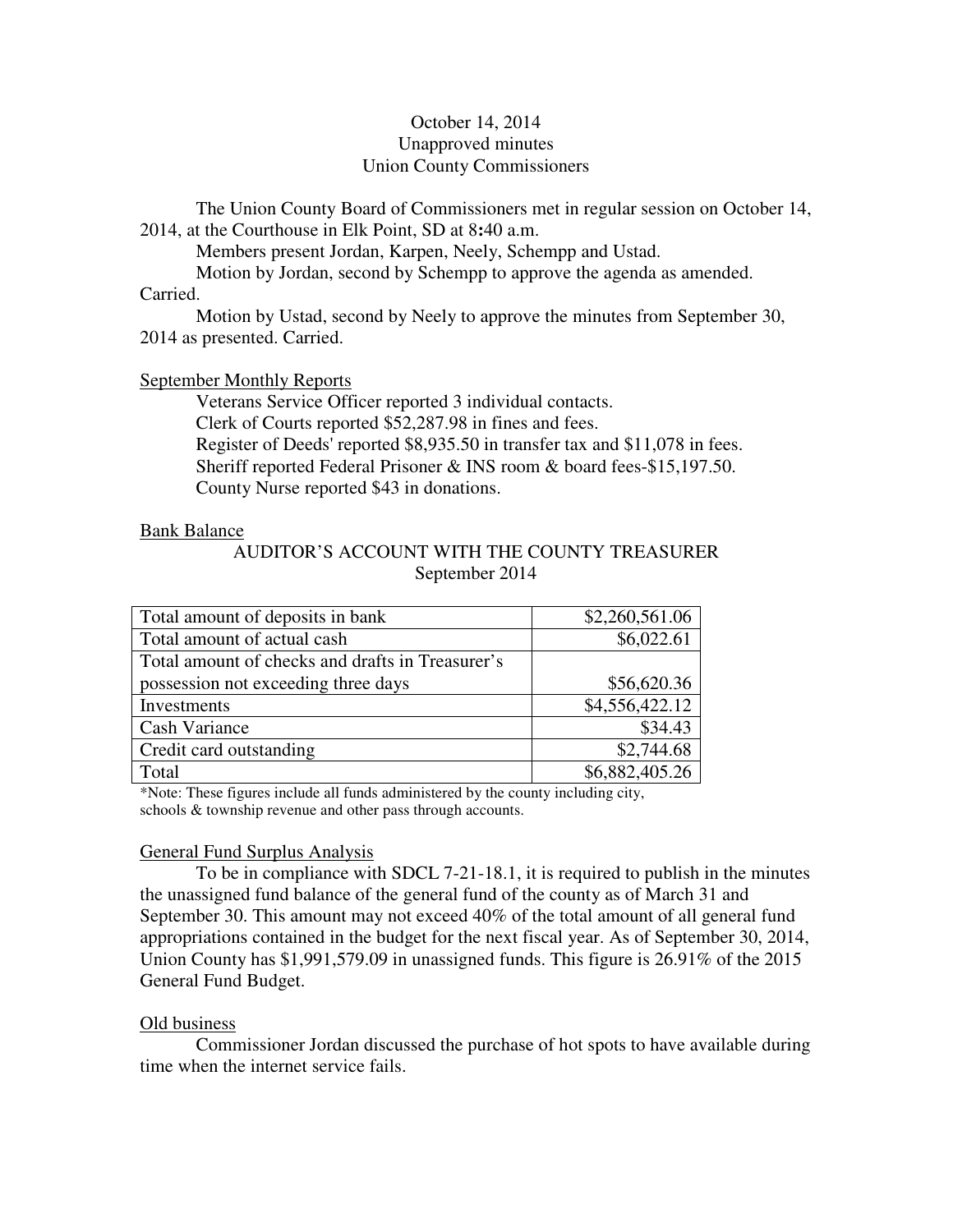# October 14, 2014 Unapproved minutes Union County Commissioners

The Union County Board of Commissioners met in regular session on October 14, 2014, at the Courthouse in Elk Point, SD at 8**:**40 a.m.

Members present Jordan, Karpen, Neely, Schempp and Ustad.

Motion by Jordan, second by Schempp to approve the agenda as amended.

## Carried.

 Motion by Ustad, second by Neely to approve the minutes from September 30, 2014 as presented. Carried.

# September Monthly Reports

 Veterans Service Officer reported 3 individual contacts. Clerk of Courts reported \$52,287.98 in fines and fees. Register of Deeds' reported \$8,935.50 in transfer tax and \$11,078 in fees. Sheriff reported Federal Prisoner & INS room & board fees-\$15,197.50. County Nurse reported \$43 in donations.

## Bank Balance

AUDITOR'S ACCOUNT WITH THE COUNTY TREASURER September 2014

| Total amount of deposits in bank                 | \$2,260,561.06 |
|--------------------------------------------------|----------------|
| Total amount of actual cash                      | \$6,022.61     |
| Total amount of checks and drafts in Treasurer's |                |
| possession not exceeding three days              | \$56,620.36    |
| Investments                                      | \$4,556,422.12 |
| Cash Variance                                    | \$34.43        |
| Credit card outstanding                          | \$2,744.68     |
| Total                                            | \$6,882,405.26 |

\*Note: These figures include all funds administered by the county including city, schools & township revenue and other pass through accounts.

# General Fund Surplus Analysis

 To be in compliance with SDCL 7-21-18.1, it is required to publish in the minutes the unassigned fund balance of the general fund of the county as of March 31 and September 30. This amount may not exceed 40% of the total amount of all general fund appropriations contained in the budget for the next fiscal year. As of September 30, 2014, Union County has \$1,991,579.09 in unassigned funds. This figure is 26.91% of the 2015 General Fund Budget.

# Old business

 Commissioner Jordan discussed the purchase of hot spots to have available during time when the internet service fails.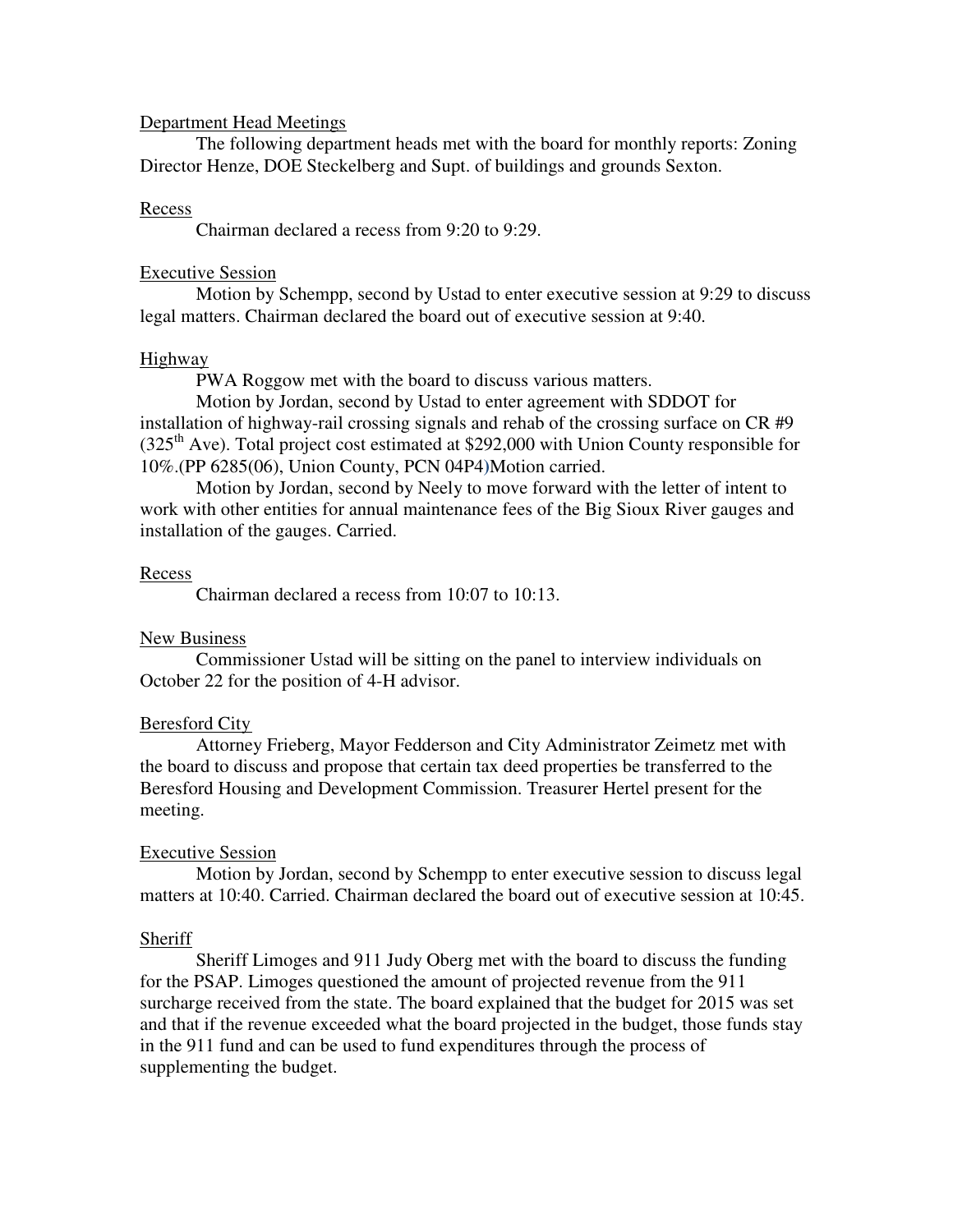#### Department Head Meetings

 The following department heads met with the board for monthly reports: Zoning Director Henze, DOE Steckelberg and Supt. of buildings and grounds Sexton.

#### Recess

Chairman declared a recess from 9:20 to 9:29.

# Executive Session

 Motion by Schempp, second by Ustad to enter executive session at 9:29 to discuss legal matters. Chairman declared the board out of executive session at 9:40.

## **Highway**

PWA Roggow met with the board to discuss various matters.

 Motion by Jordan, second by Ustad to enter agreement with SDDOT for installation of highway-rail crossing signals and rehab of the crossing surface on CR #9  $(325<sup>th</sup>$  Ave). Total project cost estimated at \$292,000 with Union County responsible for 10%.(PP 6285(06), Union County, PCN 04P4**)**Motion carried.

 Motion by Jordan, second by Neely to move forward with the letter of intent to work with other entities for annual maintenance fees of the Big Sioux River gauges and installation of the gauges. Carried.

## Recess

Chairman declared a recess from 10:07 to 10:13.

# New Business

 Commissioner Ustad will be sitting on the panel to interview individuals on October 22 for the position of 4-H advisor.

# Beresford City

 Attorney Frieberg, Mayor Fedderson and City Administrator Zeimetz met with the board to discuss and propose that certain tax deed properties be transferred to the Beresford Housing and Development Commission. Treasurer Hertel present for the meeting.

# Executive Session

 Motion by Jordan, second by Schempp to enter executive session to discuss legal matters at 10:40. Carried. Chairman declared the board out of executive session at 10:45.

# Sheriff

 Sheriff Limoges and 911 Judy Oberg met with the board to discuss the funding for the PSAP. Limoges questioned the amount of projected revenue from the 911 surcharge received from the state. The board explained that the budget for 2015 was set and that if the revenue exceeded what the board projected in the budget, those funds stay in the 911 fund and can be used to fund expenditures through the process of supplementing the budget.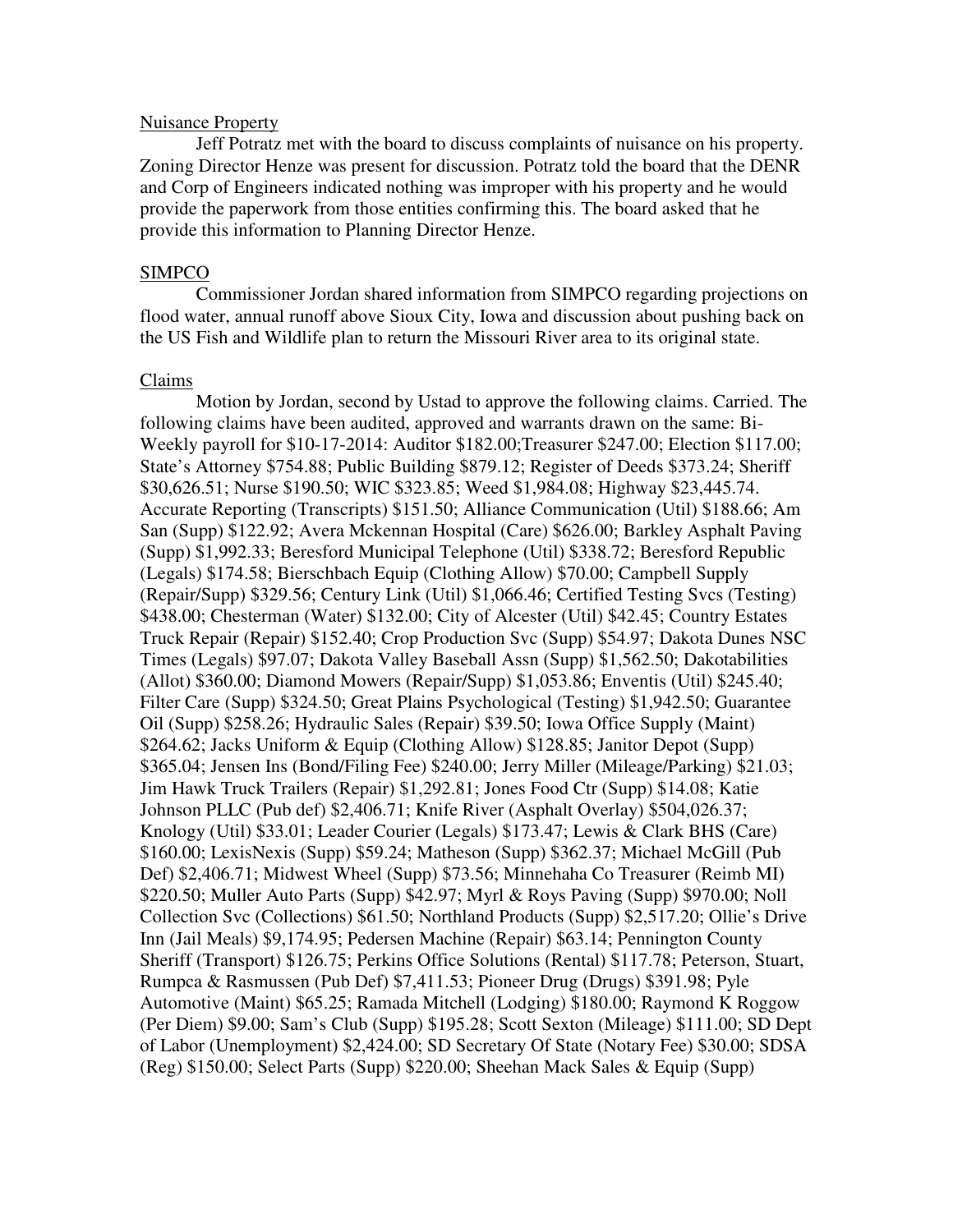#### Nuisance Property

 Jeff Potratz met with the board to discuss complaints of nuisance on his property. Zoning Director Henze was present for discussion. Potratz told the board that the DENR and Corp of Engineers indicated nothing was improper with his property and he would provide the paperwork from those entities confirming this. The board asked that he provide this information to Planning Director Henze.

#### SIMPCO

 Commissioner Jordan shared information from SIMPCO regarding projections on flood water, annual runoff above Sioux City, Iowa and discussion about pushing back on the US Fish and Wildlife plan to return the Missouri River area to its original state.

#### Claims

 Motion by Jordan, second by Ustad to approve the following claims. Carried. The following claims have been audited, approved and warrants drawn on the same: Bi-Weekly payroll for \$10-17-2014: Auditor \$182.00;Treasurer \$247.00; Election \$117.00; State's Attorney \$754.88; Public Building \$879.12; Register of Deeds \$373.24; Sheriff \$30,626.51; Nurse \$190.50; WIC \$323.85; Weed \$1,984.08; Highway \$23,445.74. Accurate Reporting (Transcripts) \$151.50; Alliance Communication (Util) \$188.66; Am San (Supp) \$122.92; Avera Mckennan Hospital (Care) \$626.00; Barkley Asphalt Paving (Supp) \$1,992.33; Beresford Municipal Telephone (Util) \$338.72; Beresford Republic (Legals) \$174.58; Bierschbach Equip (Clothing Allow) \$70.00; Campbell Supply (Repair/Supp) \$329.56; Century Link (Util) \$1,066.46; Certified Testing Svcs (Testing) \$438.00; Chesterman (Water) \$132.00; City of Alcester (Util) \$42.45; Country Estates Truck Repair (Repair) \$152.40; Crop Production Svc (Supp) \$54.97; Dakota Dunes NSC Times (Legals) \$97.07; Dakota Valley Baseball Assn (Supp) \$1,562.50; Dakotabilities (Allot) \$360.00; Diamond Mowers (Repair/Supp) \$1,053.86; Enventis (Util) \$245.40; Filter Care (Supp) \$324.50; Great Plains Psychological (Testing) \$1,942.50; Guarantee Oil (Supp) \$258.26; Hydraulic Sales (Repair) \$39.50; Iowa Office Supply (Maint) \$264.62; Jacks Uniform & Equip (Clothing Allow) \$128.85; Janitor Depot (Supp) \$365.04; Jensen Ins (Bond/Filing Fee) \$240.00; Jerry Miller (Mileage/Parking) \$21.03; Jim Hawk Truck Trailers (Repair) \$1,292.81; Jones Food Ctr (Supp) \$14.08; Katie Johnson PLLC (Pub def) \$2,406.71; Knife River (Asphalt Overlay) \$504,026.37; Knology (Util) \$33.01; Leader Courier (Legals) \$173.47; Lewis & Clark BHS (Care) \$160.00; LexisNexis (Supp) \$59.24; Matheson (Supp) \$362.37; Michael McGill (Pub Def) \$2,406.71; Midwest Wheel (Supp) \$73.56; Minnehaha Co Treasurer (Reimb MI) \$220.50; Muller Auto Parts (Supp) \$42.97; Myrl & Roys Paving (Supp) \$970.00; Noll Collection Svc (Collections) \$61.50; Northland Products (Supp) \$2,517.20; Ollie's Drive Inn (Jail Meals) \$9,174.95; Pedersen Machine (Repair) \$63.14; Pennington County Sheriff (Transport) \$126.75; Perkins Office Solutions (Rental) \$117.78; Peterson, Stuart, Rumpca & Rasmussen (Pub Def) \$7,411.53; Pioneer Drug (Drugs) \$391.98; Pyle Automotive (Maint) \$65.25; Ramada Mitchell (Lodging) \$180.00; Raymond K Roggow (Per Diem) \$9.00; Sam's Club (Supp) \$195.28; Scott Sexton (Mileage) \$111.00; SD Dept of Labor (Unemployment) \$2,424.00; SD Secretary Of State (Notary Fee) \$30.00; SDSA (Reg) \$150.00; Select Parts (Supp) \$220.00; Sheehan Mack Sales & Equip (Supp)